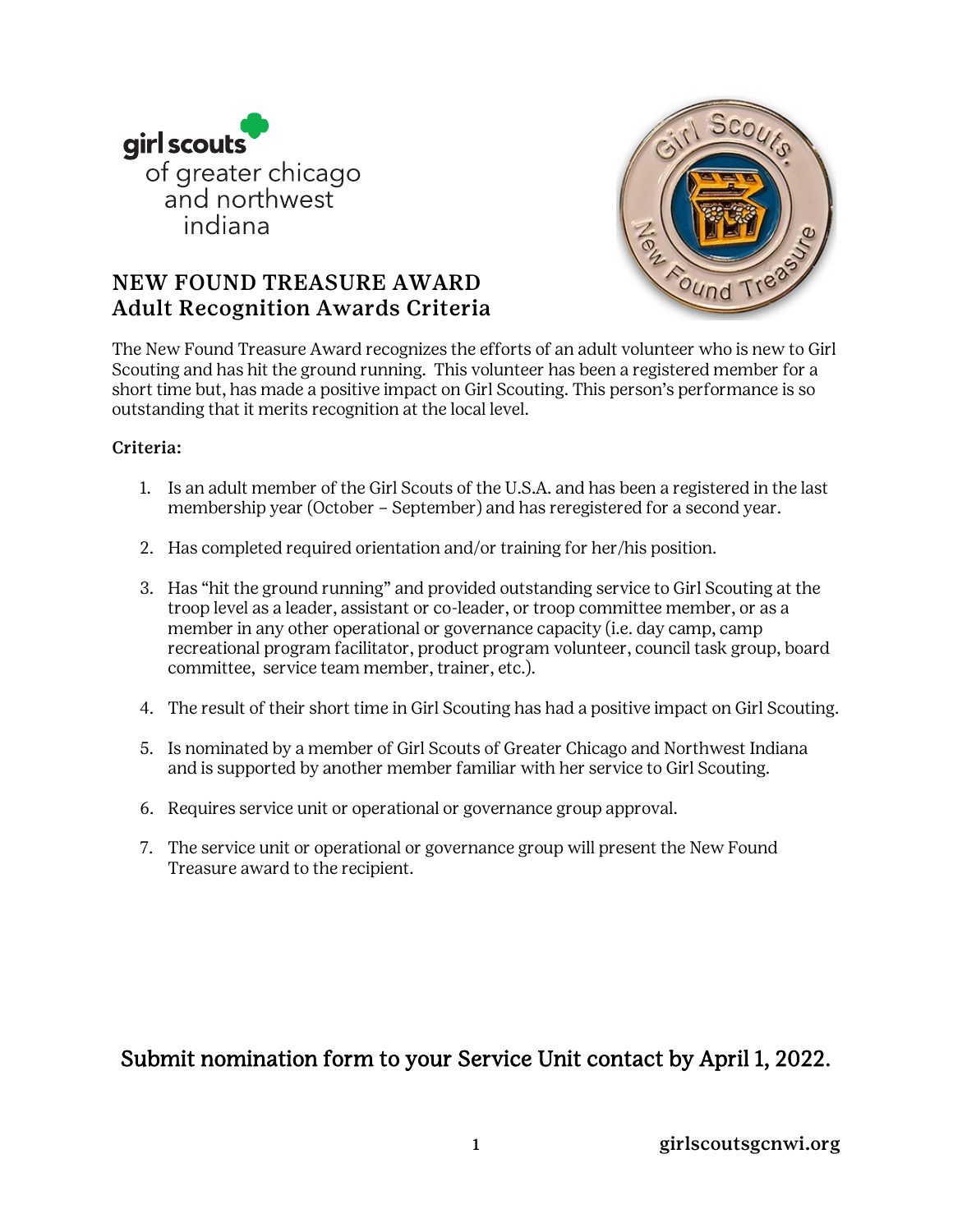



# NEW FOUND TREASURE AWARD Adult Recognition Awards Criteria

The New Found Treasure Award recognizes the efforts of an adult volunteer who is new to Girl Scouting and has hit the ground running. This volunteer has been a registered member for a short time but, has made a positive impact on Girl Scouting. This person's performance is so outstanding that it merits recognition at the local level.

#### Criteria:

- 1. Is an adult member of the Girl Scouts of the U.S.A. and has been a registered in the last membership year (October – September) and has reregistered for a second year.
- 2. Has completed required orientation and/or training for her/his position.
- 3. Has "hit the ground running" and provided outstanding service to Girl Scouting at the troop level as a leader, assistant or co-leader, or troop committee member, or as a member in any other operational or governance capacity (i.e. day camp, camp recreational program facilitator, product program volunteer, council task group, board committee, service team member, trainer, etc.).
- 4. The result of their short time in Girl Scouting has had a positive impact on Girl Scouting.
- 5. Is nominated by a member of Girl Scouts of Greater Chicago and Northwest Indiana and is supported by another member familiar with her service to Girl Scouting.
- 6. Requires service unit or operational or governance group approval.
- 7. The service unit or operational or governance group will present the New Found Treasure award to the recipient.

# Submit nomination form to your Service Unit contact by April 1, 2022.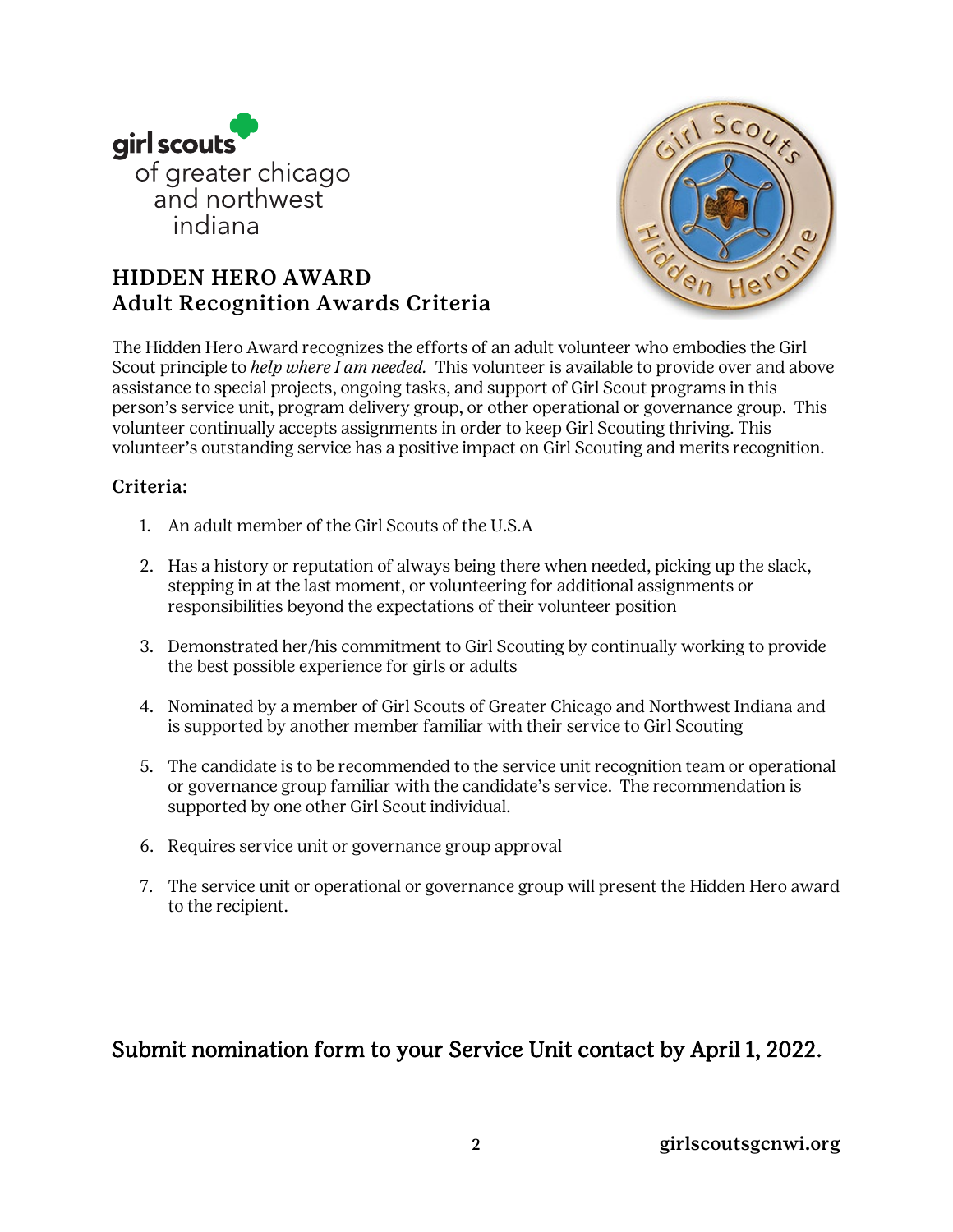

# HIDDEN HERO AWARD Adult Recognition Awards Criteria



The Hidden Hero Award recognizes the efforts of an adult volunteer who embodies the Girl Scout principle to *help where I am needed.* This volunteer is available to provide over and above assistance to special projects, ongoing tasks, and support of Girl Scout programs in this person's service unit, program delivery group, or other operational or governance group. This volunteer continually accepts assignments in order to keep Girl Scouting thriving. This volunteer's outstanding service has a positive impact on Girl Scouting and merits recognition.

### Criteria:

- 1. An adult member of the Girl Scouts of the U.S.A
- 2. Has a history or reputation of always being there when needed, picking up the slack, stepping in at the last moment, or volunteering for additional assignments or responsibilities beyond the expectations of their volunteer position
- 3. Demonstrated her/his commitment to Girl Scouting by continually working to provide the best possible experience for girls or adults
- 4. Nominated by a member of Girl Scouts of Greater Chicago and Northwest Indiana and is supported by another member familiar with their service to Girl Scouting
- 5. The candidate is to be recommended to the service unit recognition team or operational or governance group familiar with the candidate's service. The recommendation is supported by one other Girl Scout individual.
- 6. Requires service unit or governance group approval
- 7. The service unit or operational or governance group will present the Hidden Hero award to the recipient.

# Submit nomination form to your Service Unit contact by April 1, 2022.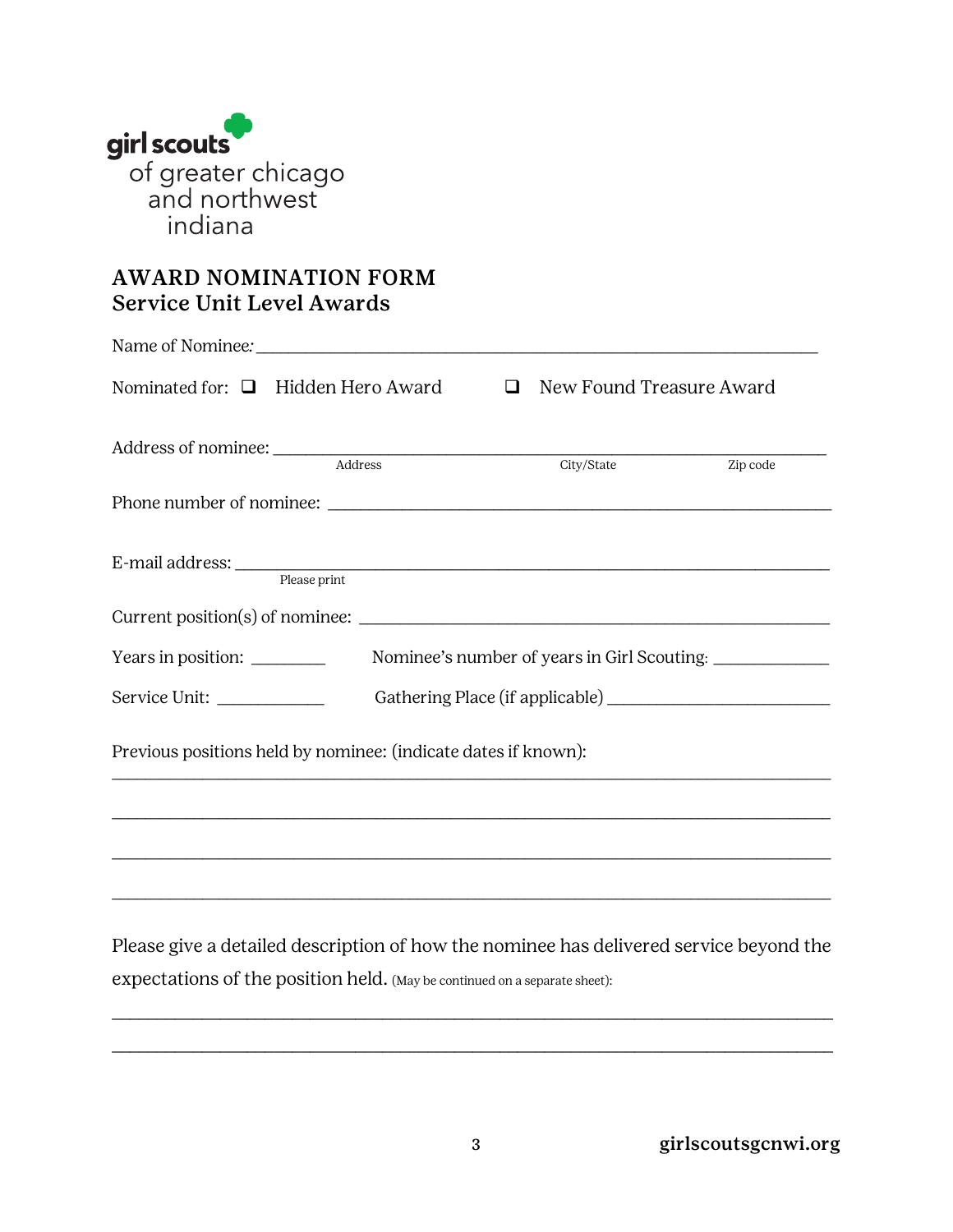

# AWARD NOMINATION FORM Service Unit Level Awards

|                    | Nominated for: $\Box$ Hidden Hero Award $\Box$ New Found Treasure Award                                                                                              |            |                                             |
|--------------------|----------------------------------------------------------------------------------------------------------------------------------------------------------------------|------------|---------------------------------------------|
|                    |                                                                                                                                                                      | City/State | Zip code                                    |
|                    |                                                                                                                                                                      |            |                                             |
|                    | E-mail address: Please print                                                                                                                                         |            |                                             |
|                    |                                                                                                                                                                      |            |                                             |
| Years in position: |                                                                                                                                                                      |            | Nominee's number of years in Girl Scouting: |
|                    |                                                                                                                                                                      |            |                                             |
|                    | Previous positions held by nominee: (indicate dates if known):                                                                                                       |            |                                             |
|                    | ,我们也不能在这里的时候,我们也不能在这里的时候,我们也不能会在这里,我们也不能会在这里的时候,我们也不能会在这里的时候,我们也不能会在这里的时候,我们也不能会                                                                                     |            |                                             |
|                    | ,我们也不能会在这里,我们的人们就会在这里,我们的人们就会不能会在这里,我们的人们就会不能会不能会不能会。""我们的人们,我们也不能会不能会不能会不能会不能会不                                                                                     |            |                                             |
|                    | Please give a detailed description of how the nominee has delivered service beyond the<br>expectations of the position held. (May be continued on a separate sheet): |            |                                             |

\_\_\_\_\_\_\_\_\_\_\_\_\_\_\_\_\_\_\_\_\_\_\_\_\_\_\_\_\_\_\_\_\_\_\_\_\_\_\_\_\_\_\_\_\_\_\_\_\_\_\_\_\_\_\_\_\_\_\_\_\_\_\_\_\_\_\_\_\_\_\_\_\_\_\_\_\_\_\_\_

\_\_\_\_\_\_\_\_\_\_\_\_\_\_\_\_\_\_\_\_\_\_\_\_\_\_\_\_\_\_\_\_\_\_\_\_\_\_\_\_\_\_\_\_\_\_\_\_\_\_\_\_\_\_\_\_\_\_\_\_\_\_\_\_\_\_\_\_\_\_\_\_\_\_\_\_\_\_\_\_